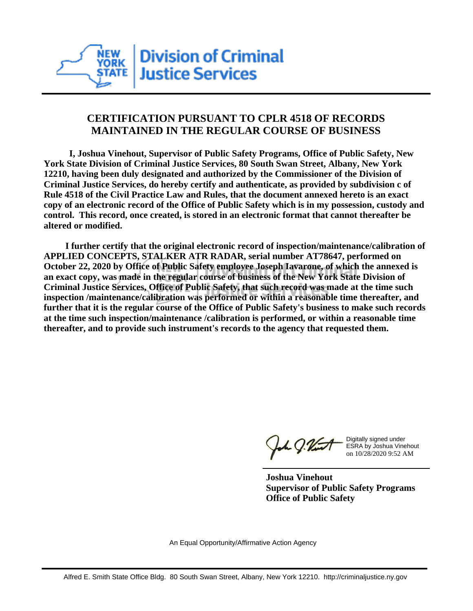

## **CERTIFICATION PURSUANT TO CPLR 4518 OF RECORDS MAINTAINED IN THE REGULAR COURSE OF BUSINESS**

 **I, Joshua Vinehout, Supervisor of Public Safety Programs, Office of Public Safety, New York State Division of Criminal Justice Services, 80 South Swan Street, Albany, New York 12210, having been duly designated and authorized by the Commissioner of the Division of Criminal Justice Services, do hereby certify and authenticate, as provided by subdivision c of Rule 4518 of the Civil Practice Law and Rules, that the document annexed hereto is an exact copy of an electronic record of the Office of Public Safety which is in my possession, custody and control. This record, once created, is stored in an electronic format that cannot thereafter be altered or modified.**

 **I further certify that the original electronic record of inspection/maintenance/calibration of APPLIED CONCEPTS, STALKER ATR RADAR, serial number AT78647, performed on October 22, 2020 by Office of Public Safety employee Joseph Iavarone, of which the annexed is an exact copy, was made in the regular course of business of the New York State Division of Criminal Justice Services, Office of Public Safety, that such record was made at the time such inspection /maintenance/calibration was performed or within a reasonable time thereafter, and further that it is the regular course of the Office of Public Safety's business to make such records at the time such inspection/maintenance /calibration is performed, or within a reasonable time thereafter, and to provide such instrument's records to the agency that requested them.**

h J.Vint

Digitally signed under ESRA by Joshua Vinehout on 10/28/2020 9:52 AM

**Joshua Vinehout Supervisor of Public Safety Programs Office of Public Safety**

An Equal Opportunity/Affirmative Action Agency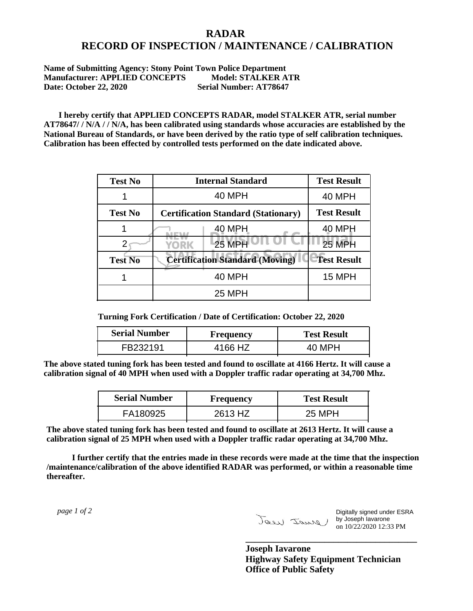## **RADAR RECORD OF INSPECTION / MAINTENANCE / CALIBRATION**

**Name of Submitting Agency: Stony Point Town Police Department Manufacturer: APPLIED CONCEPTS Model: STALKER ATR Date: October 22, 2020 Serial Number: AT78647** 

 **I hereby certify that APPLIED CONCEPTS RADAR, model STALKER ATR, serial number AT78647/ / N/A / / N/A, has been calibrated using standards whose accuracies are established by the National Bureau of Standards, or have been derived by the ratio type of self calibration techniques. Calibration has been effected by controlled tests performed on the date indicated above.**

| <b>Test No</b> | <b>Internal Standard</b>                   | <b>Test Result</b> |
|----------------|--------------------------------------------|--------------------|
|                | 40 MPH                                     | 40 MPH             |
| <b>Test No</b> | <b>Certification Standard (Stationary)</b> | <b>Test Result</b> |
|                | 40 MPH                                     | 40 MPH             |
|                | <b>25 MPH</b><br>YORK                      | <b>25 MPH</b>      |
| <b>Test No</b> | <b>Certification Standard (Moving)</b>     | <b>Test Result</b> |
|                | 40 MPH                                     | 15 MPH             |
|                | 25 MPH                                     |                    |

**Turning Fork Certification / Date of Certification: October 22, 2020**

| <b>Serial Number</b> | Frequency | <b>Test Result</b> |
|----------------------|-----------|--------------------|
| FB232191             | 4166 HZ   | 40 MPH             |

**The above stated tuning fork has been tested and found to oscillate at 4166 Hertz. It will cause a calibration signal of 40 MPH when used with a Doppler traffic radar operating at 34,700 Mhz.**

| <b>Serial Number</b> | Frequency | <b>Test Result</b> |
|----------------------|-----------|--------------------|
| FA180925             | 2613 HZ   | 25 MPH             |

**The above stated tuning fork has been tested and found to oscillate at 2613 Hertz. It will cause a calibration signal of 25 MPH when used with a Doppler traffic radar operating at 34,700 Mhz.**

 **I further certify that the entries made in these records were made at the time that the inspection /maintenance/calibration of the above identified RADAR was performed, or within a reasonable time thereafter.**

 *page 1 of 2* 

Digitally signed under ESRA by Joseph Iavarone on 10/22/2020 12:33 PM

**Joseph Iavarone Highway Safety Equipment Technician Office of Public Safety**

**\_\_\_\_\_\_\_\_\_\_\_\_\_\_\_\_\_\_\_\_\_\_\_\_\_\_\_\_\_\_\_\_\_\_\_\_\_**